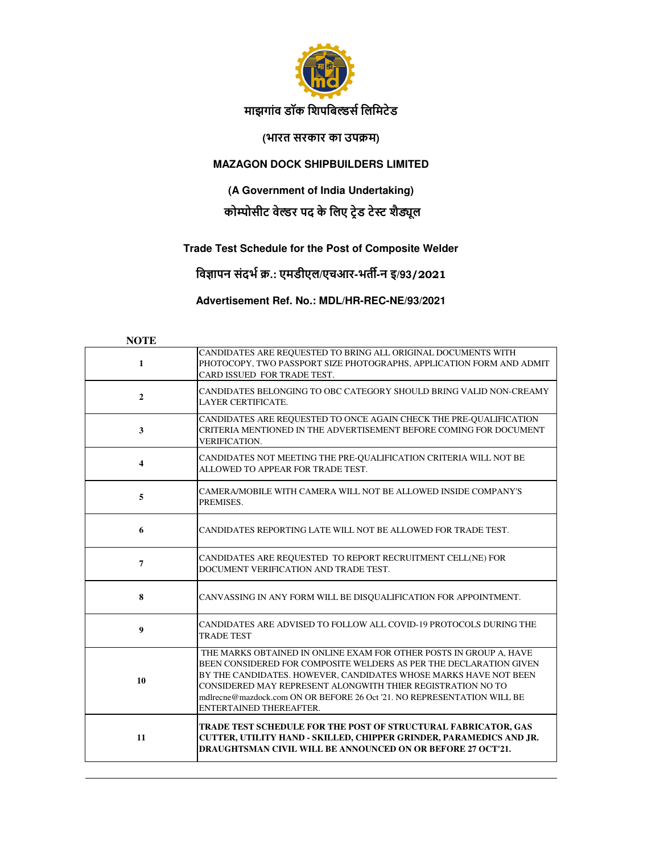

## **माझगांव डॉक िशपिबस िलिमटेड**

## **(भारत सरकार का उपम)**

### **MAZAGON DOCK SHIPBUILDERS LIMITED**

**(A Government of India Undertaking)**

# **कोम्पोसीट वेल्डर पद के लिए ट्रेड टेस्ट शैड्यूल**

## **Trade Test Schedule for the Post of Composite Welder**

**िव\$ापन संदभ .: एमडीएल/एचआर-भत(-न इ/93/2021**

**Advertisement Ref. No.: MDL/HR-REC-NE/93/2021**

#### **NOTE**

| $\mathbf{1}$            | CANDIDATES ARE REQUESTED TO BRING ALL ORIGINAL DOCUMENTS WITH<br>PHOTOCOPY, TWO PASSPORT SIZE PHOTOGRAPHS, APPLICATION FORM AND ADMIT<br>CARD ISSUED FOR TRADE TEST.                                                                                                                                                                                                              |
|-------------------------|-----------------------------------------------------------------------------------------------------------------------------------------------------------------------------------------------------------------------------------------------------------------------------------------------------------------------------------------------------------------------------------|
| $\overline{2}$          | CANDIDATES BELONGING TO OBC CATEGORY SHOULD BRING VALID NON-CREAMY<br><b>LAYER CERTIFICATE.</b>                                                                                                                                                                                                                                                                                   |
| 3                       | CANDIDATES ARE REQUESTED TO ONCE AGAIN CHECK THE PRE-QUALIFICATION<br>CRITERIA MENTIONED IN THE ADVERTISEMENT BEFORE COMING FOR DOCUMENT<br><b>VERIFICATION.</b>                                                                                                                                                                                                                  |
| $\overline{\mathbf{4}}$ | CANDIDATES NOT MEETING THE PRE-QUALIFICATION CRITERIA WILL NOT BE<br>ALLOWED TO APPEAR FOR TRADE TEST.                                                                                                                                                                                                                                                                            |
| 5                       | CAMERA/MOBILE WITH CAMERA WILL NOT BE ALLOWED INSIDE COMPANY'S<br>PREMISES.                                                                                                                                                                                                                                                                                                       |
| 6                       | CANDIDATES REPORTING LATE WILL NOT BE ALLOWED FOR TRADE TEST.                                                                                                                                                                                                                                                                                                                     |
| $\overline{7}$          | CANDIDATES ARE REQUESTED TO REPORT RECRUITMENT CELL(NE) FOR<br>DOCUMENT VERIFICATION AND TRADE TEST.                                                                                                                                                                                                                                                                              |
| 8                       | CANVASSING IN ANY FORM WILL BE DISQUALIFICATION FOR APPOINTMENT.                                                                                                                                                                                                                                                                                                                  |
| $\boldsymbol{9}$        | CANDIDATES ARE ADVISED TO FOLLOW ALL COVID-19 PROTOCOLS DURING THE<br><b>TRADE TEST</b>                                                                                                                                                                                                                                                                                           |
| 10                      | THE MARKS OBTAINED IN ONLINE EXAM FOR OTHER POSTS IN GROUP A, HAVE<br>BEEN CONSIDERED FOR COMPOSITE WELDERS AS PER THE DECLARATION GIVEN<br>BY THE CANDIDATES. HOWEVER, CANDIDATES WHOSE MARKS HAVE NOT BEEN<br>CONSIDERED MAY REPRESENT ALONGWITH THIER REGISTRATION NO TO<br>mdlrecne@mazdock.com ON OR BEFORE 26 Oct '21. NO REPRESENTATION WILL BE<br>ENTERTAINED THEREAFTER. |
| 11                      | TRADE TEST SCHEDULE FOR THE POST OF STRUCTURAL FABRICATOR, GAS<br>CUTTER, UTILITY HAND - SKILLED, CHIPPER GRINDER, PARAMEDICS AND JR.<br>DRAUGHTSMAN CIVIL WILL BE ANNOUNCED ON OR BEFORE 27 OCT'21.                                                                                                                                                                              |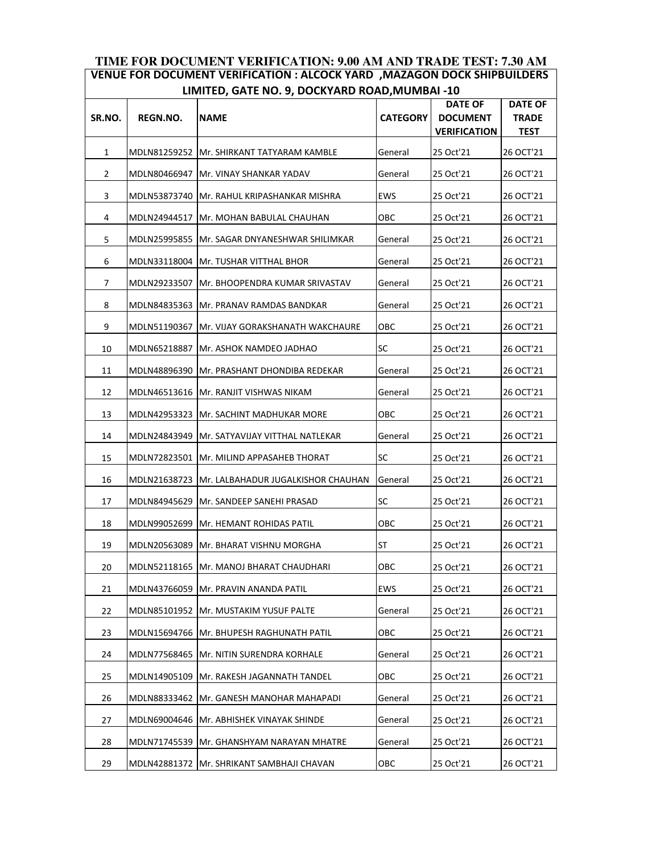#### **TIME FOR DOCUMENT VERIFICATION: 9.00 AM AND TRADE TEST: 7.30 AM VENUE FOR DOCUMENT VERIFICATION : ALCOCK YARD ,MAZAGON DOCK SHIPBUILDERS LIMITED, GATE NO. 9, DOCKYARD ROAD,MUMBAI -10**

|        |              | LINITLD, OATL NO. J, DOCKTAND NOAD, NONDINIDAI -10 |                 |                                                          |                                               |
|--------|--------------|----------------------------------------------------|-----------------|----------------------------------------------------------|-----------------------------------------------|
| SR.NO. | REGN.NO.     | <b>NAME</b>                                        | <b>CATEGORY</b> | <b>DATE OF</b><br><b>DOCUMENT</b><br><b>VERIFICATION</b> | <b>DATE OF</b><br><b>TRADE</b><br><b>TEST</b> |
| 1      |              | MDLN81259252   Mr. SHIRKANT TATYARAM KAMBLE        | General         | 25 Oct'21                                                | 26 OCT'21                                     |
| 2      | MDLN80466947 | <b>Mr. VINAY SHANKAR YADAV</b>                     | General         | 25 Oct'21                                                | 26 OCT'21                                     |
| 3      | MDLN53873740 | Mr. RAHUL KRIPASHANKAR MISHRA                      | <b>EWS</b>      | 25 Oct'21                                                | 26 OCT'21                                     |
| 4      |              | MDLN24944517   Mr. MOHAN BABULAL CHAUHAN           | ОВС             | 25 Oct'21                                                | 26 OCT'21                                     |
| 5      | MDLN25995855 | Mr. SAGAR DNYANESHWAR SHILIMKAR                    | General         | 25 Oct'21                                                | 26 OCT'21                                     |
| 6      | MDLN33118004 | <b>Mr. TUSHAR VITTHAL BHOR</b>                     | General         | 25 Oct'21                                                | 26 OCT'21                                     |
| 7      |              | MDLN29233507  Mr. BHOOPENDRA KUMAR SRIVASTAV       | General         | 25 Oct'21                                                | 26 OCT'21                                     |
| 8      | MDLN84835363 | Mr. PRANAV RAMDAS BANDKAR                          | General         | 25 Oct'21                                                | 26 OCT'21                                     |
| 9      | MDLN51190367 | <b>Mr. VIJAY GORAKSHANATH WAKCHAURE</b>            | ОВС             | 25 Oct'21                                                | 26 OCT'21                                     |
| 10     | MDLN65218887 | Mr. ASHOK NAMDEO JADHAO                            | SC              | 25 Oct'21                                                | 26 OCT'21                                     |
| 11     | MDLN48896390 | Mr. PRASHANT DHONDIBA REDEKAR                      | General         | 25 Oct'21                                                | 26 OCT'21                                     |
| 12     |              | MDLN46513616   Mr. RANJIT VISHWAS NIKAM            | General         | 25 Oct'21                                                | 26 OCT'21                                     |
| 13     | MDLN42953323 | <b>Mr. SACHINT MADHUKAR MORE</b>                   | OBC             | 25 Oct'21                                                | 26 OCT'21                                     |
| 14     | MDLN24843949 | Mr. SATYAVIJAY VITTHAL NATLEKAR                    | General         | 25 Oct'21                                                | 26 OCT'21                                     |
| 15     |              | MDLN72823501  Mr. MILIND APPASAHEB THORAT          | <b>SC</b>       | 25 Oct'21                                                | 26 OCT'21                                     |
| 16     | MDLN21638723 | Mr. LALBAHADUR JUGALKISHOR CHAUHAN                 | General         | 25 Oct'21                                                | 26 OCT'21                                     |
| 17     |              | MDLN84945629  Mr. SANDEEP SANEHI PRASAD            | SC              | 25 Oct'21                                                | 26 OCT'21                                     |
| 18     | MDLN99052699 | Mr. HEMANT ROHIDAS PATIL                           | OBC             | 25 Oct'21                                                | 26 OCT'21                                     |
| 19     | MDLN20563089 | Mr. BHARAT VISHNU MORGHA                           | <b>ST</b>       | 25 Oct'21                                                | 26 OCT'21                                     |
| 20     |              | MDLN52118165   Mr. MANOJ BHARAT CHAUDHARI          | OBC             | 25 Oct'21                                                | 26 OCT'21                                     |
| 21     | MDLN43766059 | Mr. PRAVIN ANANDA PATIL                            | EWS             | 25 Oct'21                                                | 26 OCT'21                                     |
| 22     | MDLN85101952 | Mr. MUSTAKIM YUSUF PALTE                           | General         | 25 Oct'21                                                | 26 OCT'21                                     |
| 23     | MDLN15694766 | Mr. BHUPESH RAGHUNATH PATIL                        | OBC             | 25 Oct'21                                                | 26 OCT'21                                     |
| 24     | MDLN77568465 | Mr. NITIN SURENDRA KORHALE                         | General         | 25 Oct'21                                                | 26 OCT'21                                     |
| 25     | MDLN14905109 | Mr. RAKESH JAGANNATH TANDEL                        | OBC             | 25 Oct'21                                                | 26 OCT'21                                     |
| 26     | MDLN88333462 | Mr. GANESH MANOHAR MAHAPADI                        | General         | 25 Oct'21                                                | 26 OCT'21                                     |
| 27     | MDLN69004646 | Mr. ABHISHEK VINAYAK SHINDE                        | General         | 25 Oct'21                                                | 26 OCT'21                                     |
| 28     | MDLN71745539 | Mr. GHANSHYAM NARAYAN MHATRE                       | General         | 25 Oct'21                                                | 26 OCT'21                                     |
| 29     | MDLN42881372 | Mr. SHRIKANT SAMBHAJI CHAVAN                       | OBC             | 25 Oct'21                                                | 26 OCT'21                                     |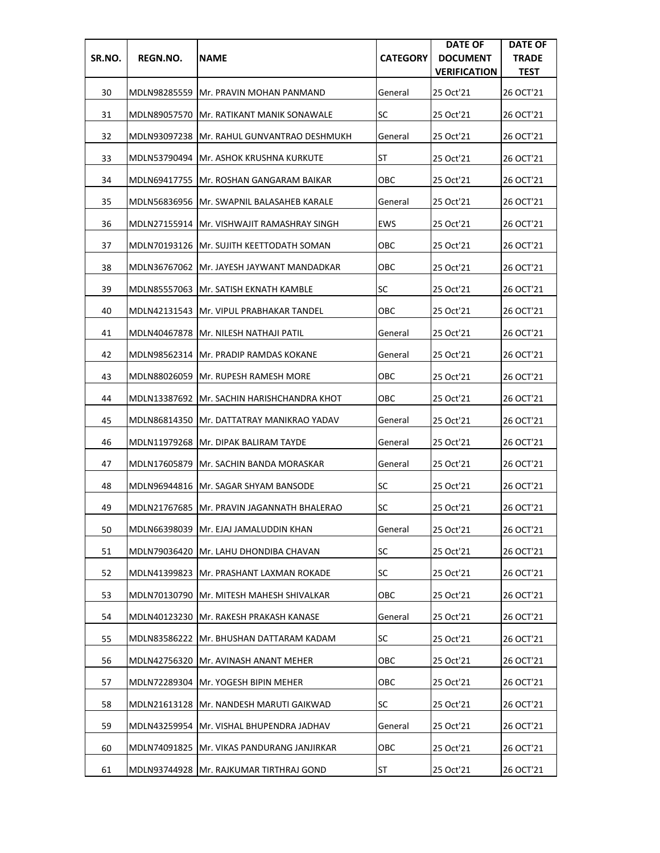| SR.NO. | REGN.NO.     | <b>NAME</b>                                 | <b>CATEGORY</b> | <b>DATE OF</b><br><b>DOCUMENT</b><br><b>VERIFICATION</b> | <b>DATE OF</b><br><b>TRADE</b><br><b>TEST</b> |
|--------|--------------|---------------------------------------------|-----------------|----------------------------------------------------------|-----------------------------------------------|
| 30     |              | MDLN98285559 Mr. PRAVIN MOHAN PANMAND       | General         | 25 Oct'21                                                | 26 OCT'21                                     |
| 31     |              | MDLN89057570   Mr. RATIKANT MANIK SONAWALE  | SC              | 25 Oct'21                                                | 26 OCT'21                                     |
| 32     | MDLN93097238 | <b>Mr. RAHUL GUNVANTRAO DESHMUKH</b>        | General         | 25 Oct'21                                                | 26 OCT'21                                     |
| 33     |              | MDLN53790494  Mr. ASHOK KRUSHNA KURKUTE     | ST              | 25 Oct'21                                                | 26 OCT'21                                     |
| 34     |              | MDLN69417755   Mr. ROSHAN GANGARAM BAIKAR   | ОВС             | 25 Oct'21                                                | 26 OCT'21                                     |
| 35     |              | MDLN56836956   Mr. SWAPNIL BALASAHEB KARALE | General         | 25 Oct'21                                                | 26 OCT'21                                     |
| 36     |              | MDLN27155914 IMr. VISHWAJIT RAMASHRAY SINGH | <b>EWS</b>      | 25 Oct'21                                                | 26 OCT'21                                     |
| 37     |              | MDLN70193126   Mr. SUJITH KEETTODATH SOMAN  | OBC             | 25 Oct'21                                                | 26 OCT'21                                     |
| 38     |              | MDLN36767062 Mr. JAYESH JAYWANT MANDADKAR   | ОВС             | 25 Oct'21                                                | 26 OCT'21                                     |
| 39     |              | MDLN85557063   Mr. SATISH EKNATH KAMBLE     | SC              | 25 Oct'21                                                | 26 OCT'21                                     |
| 40     | MDLN42131543 | <b>Mr. VIPUL PRABHAKAR TANDEL</b>           | ОВС             | 25 Oct'21                                                | 26 OCT'21                                     |
| 41     |              | MDLN40467878   Mr. NILESH NATHAJI PATIL     | General         | 25 Oct'21                                                | 26 OCT'21                                     |
| 42     |              | MDLN98562314   Mr. PRADIP RAMDAS KOKANE     | General         | 25 Oct'21                                                | 26 OCT'21                                     |
| 43     | MDLN88026059 | <b>Mr. RUPESH RAMESH MORE</b>               | ОВС             | 25 Oct'21                                                | 26 OCT'21                                     |
| 44     |              | MDLN13387692 Mr. SACHIN HARISHCHANDRA KHOT  | ОВС             | 25 Oct'21                                                | 26 OCT'21                                     |
| 45     |              | MDLN86814350   Mr. DATTATRAY MANIKRAO YADAV | General         | 25 Oct'21                                                | 26 OCT'21                                     |
| 46     |              | MDLN11979268 Mr. DIPAK BALIRAM TAYDE        | General         | 25 Oct'21                                                | 26 OCT'21                                     |
| 47     |              | MDLN17605879   Mr. SACHIN BANDA MORASKAR    | General         | 25 Oct'21                                                | 26 OCT'21                                     |
| 48     |              | MDLN96944816 Mr. SAGAR SHYAM BANSODE        | SC              | 25 Oct'21                                                | 26 OCT'21                                     |
| 49     |              | MDLN21767685 IMr. PRAVIN JAGANNATH BHALERAO | SC              | 25 Oct'21                                                | 26 OCT'21                                     |
| 50     |              | MDLN66398039 Mr. EJAJ JAMALUDDIN KHAN       | General         | 25 Oct'21                                                | 26 OCT'21                                     |
| 51     |              | MDLN79036420   Mr. LAHU DHONDIBA CHAVAN     | <b>SC</b>       | 25 Oct'21                                                | 26 OCT'21                                     |
| 52     |              | MDLN41399823  Mr. PRASHANT LAXMAN ROKADE    | <b>SC</b>       | 25 Oct'21                                                | 26 OCT'21                                     |
| 53     |              | MDLN70130790   Mr. MITESH MAHESH SHIVALKAR  | OBC             | 25 Oct'21                                                | 26 OCT'21                                     |
| 54     |              | MDLN40123230   Mr. RAKESH PRAKASH KANASE    | General         | 25 Oct'21                                                | 26 OCT'21                                     |
| 55     |              | MDLN83586222   Mr. BHUSHAN DATTARAM KADAM   | <b>SC</b>       | 25 Oct'21                                                | 26 OCT'21                                     |
| 56     |              | MDLN42756320 Mr. AVINASH ANANT MEHER        | ОВС             | 25 Oct'21                                                | 26 OCT'21                                     |
| 57     |              | MDLN72289304 Mr. YOGESH BIPIN MEHER         | OBC             | 25 Oct'21                                                | 26 OCT'21                                     |
| 58     |              | MDLN21613128   Mr. NANDESH MARUTI GAIKWAD   | <b>SC</b>       | 25 Oct'21                                                | 26 OCT'21                                     |
| 59     |              | MDLN43259954 Mr. VISHAL BHUPENDRA JADHAV    | General         | 25 Oct'21                                                | 26 OCT'21                                     |
| 60     | MDLN74091825 | Mr. VIKAS PANDURANG JANJIRKAR               | OBC             | 25 Oct'21                                                | 26 OCT'21                                     |
| 61     | MDLN93744928 | Mr. RAJKUMAR TIRTHRAJ GOND                  | ST              | 25 Oct'21                                                | 26 OCT'21                                     |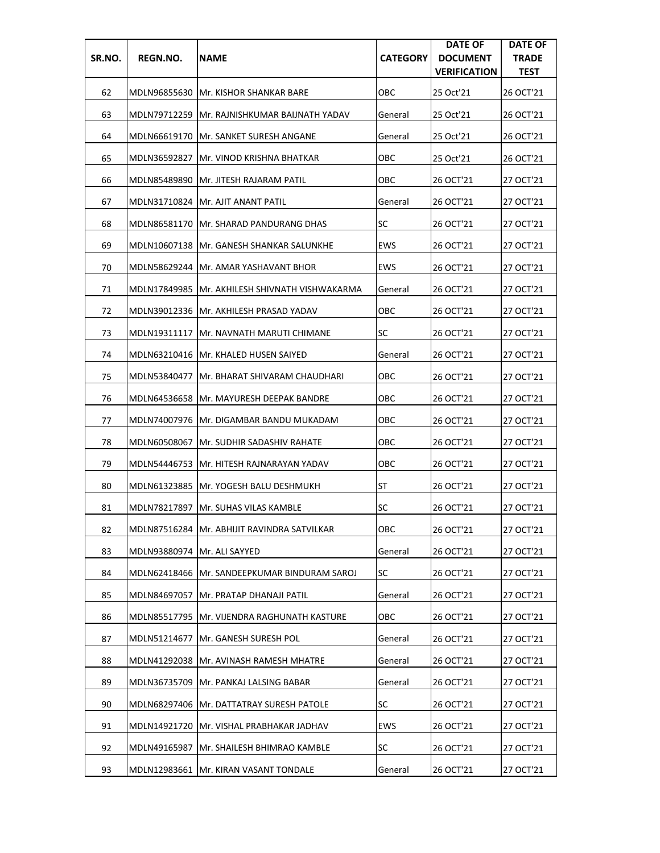| SR.NO. | REGN.NO.                      | <b>NAME</b>                                     | <b>CATEGORY</b> | <b>DATE OF</b><br><b>DOCUMENT</b><br><b>VERIFICATION</b> | <b>DATE OF</b><br><b>TRADE</b><br><b>TEST</b> |
|--------|-------------------------------|-------------------------------------------------|-----------------|----------------------------------------------------------|-----------------------------------------------|
| 62     |                               | MDLN96855630 IMr. KISHOR SHANKAR BARE           | ОВС             | 25 Oct'21                                                | 26 OCT'21                                     |
| 63     | MDLN79712259                  | Mr. RAJNISHKUMAR BAIJNATH YADAV                 | General         | 25 Oct'21                                                | 26 OCT'21                                     |
| 64     | MDLN66619170                  | <b>Mr. SANKET SURESH ANGANE</b>                 | General         | 25 Oct'21                                                | 26 OCT'21                                     |
| 65     | MDLN36592827                  | <b>IMr. VINOD KRISHNA BHATKAR</b>               | ОВС             | 25 Oct'21                                                | 26 OCT'21                                     |
| 66     |                               | MDLN85489890 Mr. JITESH RAJARAM PATIL           | ОВС             | 26 OCT'21                                                | 27 OCT'21                                     |
| 67     |                               | MDLN31710824  Mr. AJIT ANANT PATIL              | General         | 26 OCT'21                                                | 27 OCT'21                                     |
| 68     |                               | MDLN86581170 IMr. SHARAD PANDURANG DHAS         | SC              | 26 OCT'21                                                | 27 OCT'21                                     |
| 69     |                               | MDLN10607138   Mr. GANESH SHANKAR SALUNKHE      | <b>EWS</b>      | 26 OCT'21                                                | 27 OCT'21                                     |
| 70     |                               | MDLN58629244  Mr. AMAR YASHAVANT BHOR           | <b>EWS</b>      | 26 OCT'21                                                | 27 OCT'21                                     |
| 71     |                               | MDLN17849985  Mr. AKHILESH SHIVNATH VISHWAKARMA | General         | 26 OCT'21                                                | 27 OCT'21                                     |
| 72     | MDLN39012336                  | Mr. AKHILESH PRASAD YADAV                       | ОВС             | 26 OCT'21                                                | 27 OCT'21                                     |
| 73     | MDLN19311117                  | IMr. NAVNATH MARUTI CHIMANE                     | SC              | 26 OCT'21                                                | 27 OCT'21                                     |
| 74     |                               | MDLN63210416   Mr. KHALED HUSEN SAIYED          | General         | 26 OCT'21                                                | 27 OCT'21                                     |
| 75     | MDLN53840477                  | IMr. BHARAT SHIVARAM CHAUDHARI                  | ОВС             | 26 OCT'21                                                | 27 OCT'21                                     |
| 76     |                               | MDLN64536658   Mr. MAYURESH DEEPAK BANDRE       | ОВС             | 26 OCT'21                                                | 27 OCT'21                                     |
| 77     |                               | MDLN74007976   Mr. DIGAMBAR BANDU MUKADAM       | ОВС             | 26 OCT'21                                                | 27 OCT'21                                     |
| 78     | MDLN60508067                  | <b>Mr. SUDHIR SADASHIV RAHATE</b>               | ОВС             | 26 OCT'21                                                | 27 OCT'21                                     |
| 79     |                               | MDLN54446753 Mr. HITESH RAJNARAYAN YADAV        | ОВС             | 26 OCT'21                                                | 27 OCT'21                                     |
| 80     |                               | MDLN61323885 Mr. YOGESH BALU DESHMUKH           | ST              | 26 OCT'21                                                | 27 OCT'21                                     |
| 81     |                               | MDLN78217897 Mr. SUHAS VILAS KAMBLE             | <b>SC</b>       | 26 OCT'21                                                | 27 OCT'21                                     |
| 82     |                               | MDLN87516284 Mr. ABHIJIT RAVINDRA SATVILKAR     | OBC             | 26 OCT'21                                                | 27 OCT'21                                     |
| 83     | MDLN93880974   Mr. ALI SAYYED |                                                 | General         | 26 OCT'21                                                | 27 OCT'21                                     |
| 84     |                               | MDLN62418466   Mr. SANDEEPKUMAR BINDURAM SAROJ  | <b>SC</b>       | 26 OCT'21                                                | 27 OCT'21                                     |
| 85     | MDLN84697057                  | Mr. PRATAP DHANAJI PATIL                        | General         | 26 OCT'21                                                | 27 OCT'21                                     |
| 86     |                               | MDLN85517795  Mr. VIJENDRA RAGHUNATH KASTURE    | ОВС             | 26 OCT'21                                                | 27 OCT'21                                     |
| 87     | MDLN51214677                  | Mr. GANESH SURESH POL                           | General         | 26 OCT'21                                                | 27 OCT'21                                     |
| 88     |                               | MDLN41292038  Mr. AVINASH RAMESH MHATRE         | General         | 26 OCT'21                                                | 27 OCT'21                                     |
| 89     | MDLN36735709                  | Mr. PANKAJ LALSING BABAR                        | General         | 26 OCT'21                                                | 27 OCT'21                                     |
| 90     |                               | MDLN68297406   Mr. DATTATRAY SURESH PATOLE      | <b>SC</b>       | 26 OCT'21                                                | 27 OCT'21                                     |
| 91     |                               | MDLN14921720   Mr. VISHAL PRABHAKAR JADHAV      | <b>EWS</b>      | 26 OCT'21                                                | 27 OCT'21                                     |
| 92     | MDLN49165987                  | Mr. SHAILESH BHIMRAO KAMBLE                     | <b>SC</b>       | 26 OCT'21                                                | 27 OCT'21                                     |
| 93     | MDLN12983661                  | Mr. KIRAN VASANT TONDALE                        | General         | 26 OCT'21                                                | 27 OCT'21                                     |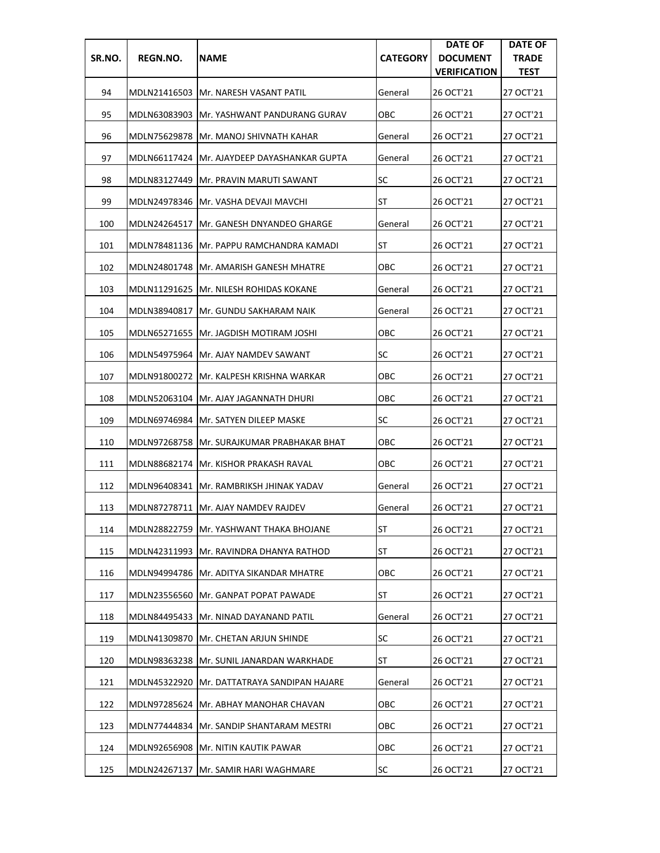| SR.NO. | REGN.NO.     | <b>NAME</b>                                  | <b>CATEGORY</b> | <b>DATE OF</b><br><b>DOCUMENT</b><br><b>VERIFICATION</b> | <b>DATE OF</b><br><b>TRADE</b><br><b>TEST</b> |
|--------|--------------|----------------------------------------------|-----------------|----------------------------------------------------------|-----------------------------------------------|
| 94     |              | MDLN21416503 IMr. NARESH VASANT PATIL        | General         | 26 OCT'21                                                | 27 OCT'21                                     |
| 95     |              | MDLN63083903 Mr. YASHWANT PANDURANG GURAV    | ОВС             | 26 OCT'21                                                | 27 OCT'21                                     |
| 96     | MDLN75629878 | <b>Mr. MANOJ SHIVNATH KAHAR</b>              | General         | 26 OCT'21                                                | 27 OCT'21                                     |
| 97     |              | MDLN66117424  Mr. AJAYDEEP DAYASHANKAR GUPTA | General         | 26 OCT'21                                                | 27 OCT'21                                     |
| 98     |              | MDLN83127449 Mr. PRAVIN MARUTI SAWANT        | <b>SC</b>       | 26 OCT'21                                                | 27 OCT'21                                     |
| 99     |              | MDLN24978346   Mr. VASHA DEVAJI MAVCHI       | ST              | 26 OCT'21                                                | 27 OCT'21                                     |
| 100    |              | MDLN24264517   Mr. GANESH DNYANDEO GHARGE    | General         | 26 OCT'21                                                | 27 OCT'21                                     |
| 101    |              | MDLN78481136   Mr. PAPPU RAMCHANDRA KAMADI   | ST              | 26 OCT'21                                                | 27 OCT'21                                     |
| 102    |              | MDLN24801748   Mr. AMARISH GANESH MHATRE     | ОВС             | 26 OCT'21                                                | 27 OCT'21                                     |
| 103    | MDLN11291625 | IMr. NILESH ROHIDAS KOKANE                   | General         | 26 OCT'21                                                | 27 OCT'21                                     |
| 104    | MDLN38940817 | Mr. GUNDU SAKHARAM NAIK                      | General         | 26 OCT'21                                                | 27 OCT'21                                     |
| 105    |              | MDLN65271655   Mr. JAGDISH MOTIRAM JOSHI     | ОВС             | 26 OCT'21                                                | 27 OCT'21                                     |
| 106    |              | MDLN54975964 JMr. AJAY NAMDEV SAWANT         | <b>SC</b>       | 26 OCT'21                                                | 27 OCT'21                                     |
| 107    | MDLN91800272 | JMr. KALPESH KRISHNA WARKAR                  | ОВС             | 26 OCT'21                                                | 27 OCT'21                                     |
| 108    |              | MDLN52063104   Mr. AJAY JAGANNATH DHURI      | ОВС             | 26 OCT'21                                                | 27 OCT'21                                     |
| 109    |              | MDLN69746984   Mr. SATYEN DILEEP MASKE       | SC              | 26 OCT'21                                                | 27 OCT'21                                     |
| 110    |              | MDLN97268758   Mr. SURAJKUMAR PRABHAKAR BHAT | ОВС             | 26 OCT'21                                                | 27 OCT'21                                     |
| 111    |              | MDLN88682174   Mr. KISHOR PRAKASH RAVAL      | ОВС             | 26 OCT'21                                                | 27 OCT'21                                     |
| 112    |              | MDLN96408341 IMr. RAMBRIKSH JHINAK YADAV     | General         | 26 OCT'21                                                | 27 OCT'21                                     |
| 113    |              | MDLN87278711   Mr. AJAY NAMDEV RAJDEV        | General         | 26 OCT'21                                                | 27 OCT'21                                     |
| 114    |              | MDLN28822759 Mr. YASHWANT THAKA BHOJANE      | <b>ST</b>       | 26 OCT'21                                                | 27 OCT'21                                     |
| 115    |              | MDLN42311993   Mr. RAVINDRA DHANYA RATHOD    | ST              | 26 OCT'21                                                | 27 OCT'21                                     |
| 116    |              | MDLN94994786   Mr. ADITYA SIKANDAR MHATRE    | овс             | 26 OCT'21                                                | 27 OCT'21                                     |
| 117    |              | MDLN23556560 Mr. GANPAT POPAT PAWADE         | ST              | 26 OCT'21                                                | 27 OCT'21                                     |
| 118    | MDLN84495433 | Mr. NINAD DAYANAND PATIL                     | General         | 26 OCT'21                                                | 27 OCT'21                                     |
| 119    |              | MDLN41309870   Mr. CHETAN ARJUN SHINDE       | <b>SC</b>       | 26 OCT'21                                                | 27 OCT'21                                     |
| 120    |              | MDLN98363238   Mr. SUNIL JANARDAN WARKHADE   | ST              | 26 OCT'21                                                | 27 OCT'21                                     |
| 121    | MDLN45322920 | Mr. DATTATRAYA SANDIPAN HAJARE               | General         | 26 OCT'21                                                | 27 OCT'21                                     |
| 122    |              | MDLN97285624   Mr. ABHAY MANOHAR CHAVAN      | OBC             | 26 OCT'21                                                | 27 OCT'21                                     |
| 123    |              | MDLN77444834 Mr. SANDIP SHANTARAM MESTRI     | овс             | 26 OCT'21                                                | 27 OCT'21                                     |
| 124    | MDLN92656908 | Mr. NITIN KAUTIK PAWAR                       | ОВС             | 26 OCT'21                                                | 27 OCT'21                                     |
| 125    | MDLN24267137 | Mr. SAMIR HARI WAGHMARE                      | SC              | 26 OCT'21                                                | 27 OCT'21                                     |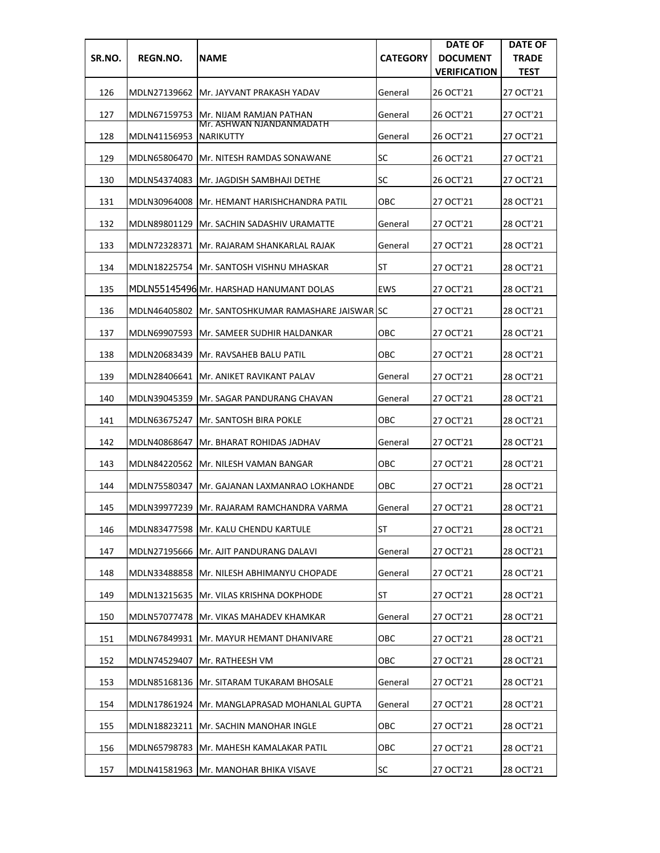| SR.NO. | REGN.NO.     | <b>NAME</b>                                    | <b>CATEGORY</b> | <b>DATE OF</b><br><b>DOCUMENT</b><br><b>VERIFICATION</b> | <b>DATE OF</b><br><b>TRADE</b><br><b>TEST</b> |
|--------|--------------|------------------------------------------------|-----------------|----------------------------------------------------------|-----------------------------------------------|
| 126    |              | MDLN27139662 Mr. JAYVANT PRAKASH YADAV         | General         | 26 OCT'21                                                | 27 OCT'21                                     |
| 127    | MDLN67159753 | <b>Mr. NIJAM RAMJAN PATHAN</b>                 | General         | 26 OCT'21                                                | 27 OCT'21                                     |
| 128    | MDLN41156953 | Mr. ASHWAN NJANDANMADATH<br><b>NARIKUTTY</b>   | General         | 26 OCT'21                                                | 27 OCT'21                                     |
| 129    |              | MDLN65806470 IMr. NITESH RAMDAS SONAWANE       | SC              | 26 OCT'21                                                | 27 OCT'21                                     |
| 130    |              | MDLN54374083 Mr. JAGDISH SAMBHAJI DETHE        | <b>SC</b>       | 26 OCT'21                                                | 27 OCT'21                                     |
| 131    | MDLN30964008 | IMr. HEMANT HARISHCHANDRA PATIL                | OBC             | 27 OCT'21                                                | 28 OCT'21                                     |
| 132    | MDLN89801129 | IMr. SACHIN SADASHIV URAMATTE                  | General         | 27 OCT'21                                                | 28 OCT'21                                     |
| 133    |              | MDLN72328371  Mr. RAJARAM SHANKARLAL RAJAK     | General         | 27 OCT'21                                                | 28 OCT'21                                     |
| 134    |              | MDLN18225754 Mr. SANTOSH VISHNU MHASKAR        | ST              | 27 OCT'21                                                | 28 OCT'21                                     |
| 135    |              | MDLN55145496 Mr. HARSHAD HANUMANT DOLAS        | <b>EWS</b>      | 27 OCT'21                                                | 28 OCT'21                                     |
| 136    | MDLN46405802 | <b>IMr. SANTOSHKUMAR RAMASHARE JAISWAR SC</b>  |                 | 27 OCT'21                                                | 28 OCT'21                                     |
| 137    |              | MDLN69907593  Mr. SAMEER SUDHIR HALDANKAR      | овс             | 27 OCT'21                                                | 28 OCT'21                                     |
| 138    | MDLN20683439 | <b>Mr. RAVSAHEB BALU PATIL</b>                 | овс             | 27 OCT'21                                                | 28 OCT'21                                     |
| 139    | MDLN28406641 | lMr. ANIKET RAVIKANT PALAV                     | General         | 27 OCT'21                                                | 28 OCT'21                                     |
| 140    | MDLN39045359 | <b>Mr. SAGAR PANDURANG CHAVAN</b>              | General         | 27 OCT'21                                                | 28 OCT'21                                     |
| 141    | MDLN63675247 | <b>IMr. SANTOSH BIRA POKLE</b>                 | ОВС             | 27 OCT'21                                                | 28 OCT'21                                     |
| 142    | MDLN40868647 | Mr. BHARAT ROHIDAS JADHAV                      | General         | 27 OCT'21                                                | 28 OCT'21                                     |
| 143    |              | MDLN84220562   Mr. NILESH VAMAN BANGAR         | ОВС             | 27 OCT'21                                                | 28 OCT'21                                     |
| 144    |              | MDLN75580347 IMr. GAJANAN LAXMANRAO LOKHANDE   | овс             | 27 OCT'21                                                | 28 OCT'21                                     |
| 145    |              | MDLN39977239 Mr. RAJARAM RAMCHANDRA VARMA      | General         | 27 OCT'21                                                | 28 OCT'21                                     |
| 146    |              | MDLN83477598 Mr. KALU CHENDU KARTULE           | <b>ST</b>       | 27 OCT'21                                                | 28 OCT'21                                     |
| 147    |              | MDLN27195666   Mr. AJIT PANDURANG DALAVI       | General         | 27 OCT'21                                                | 28 OCT'21                                     |
| 148    | MDLN33488858 | Mr. NILESH ABHIMANYU CHOPADE                   | General         | 27 OCT'21                                                | 28 OCT'21                                     |
| 149    | MDLN13215635 | <b>Mr. VILAS KRISHNA DOKPHODE</b>              | <b>ST</b>       | 27 OCT'21                                                | 28 OCT'21                                     |
| 150    | MDLN57077478 | <b>Mr. VIKAS MAHADEV KHAMKAR</b>               | General         | 27 OCT'21                                                | 28 OCT'21                                     |
| 151    | MDLN67849931 | Mr. MAYUR HEMANT DHANIVARE                     | OBC             | 27 OCT'21                                                | 28 OCT'21                                     |
| 152    | MDLN74529407 | Mr. RATHEESH VM                                | овс             | 27 OCT'21                                                | 28 OCT'21                                     |
| 153    | MDLN85168136 | Mr. SITARAM TUKARAM BHOSALE                    | General         | 27 OCT'21                                                | 28 OCT'21                                     |
| 154    |              | MDLN17861924   Mr. MANGLAPRASAD MOHANLAL GUPTA | General         | 27 OCT'21                                                | 28 OCT'21                                     |
| 155    |              | MDLN18823211   Mr. SACHIN MANOHAR INGLE        | OBC             | 27 OCT'21                                                | 28 OCT'21                                     |
| 156    | MDLN65798783 | Mr. MAHESH KAMALAKAR PATIL                     | ОВС             | 27 OCT'21                                                | 28 OCT'21                                     |
| 157    | MDLN41581963 | Mr. MANOHAR BHIKA VISAVE                       | SC              | 27 OCT'21                                                | 28 OCT'21                                     |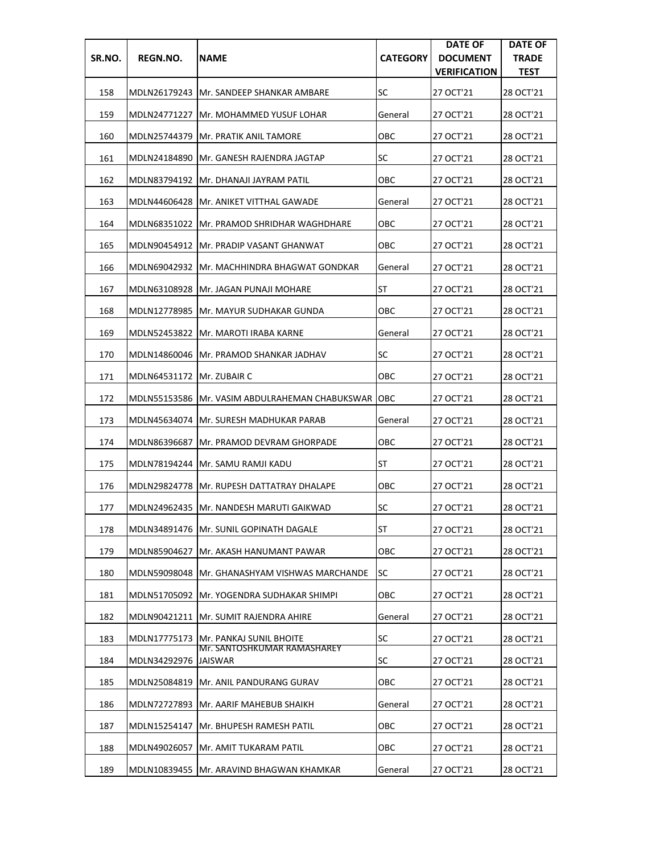| SR.NO. | REGN.NO.                    | <b>NAME</b>                                                   | <b>CATEGORY</b> | <b>DATE OF</b><br><b>DOCUMENT</b><br><b>VERIFICATION</b> | <b>DATE OF</b><br><b>TRADE</b><br><b>TEST</b> |
|--------|-----------------------------|---------------------------------------------------------------|-----------------|----------------------------------------------------------|-----------------------------------------------|
| 158    |                             | MDLN26179243  Mr. SANDEEP SHANKAR AMBARE                      | SC              | 27 OCT'21                                                | 28 OCT'21                                     |
| 159    | MDLN24771227                | <b>IMr. MOHAMMED YUSUF LOHAR</b>                              | General         | 27 OCT'21                                                | 28 OCT'21                                     |
| 160    | MDLN25744379                | <b>Mr. PRATIK ANIL TAMORE</b>                                 | ОВС             | 27 OCT'21                                                | 28 OCT'21                                     |
| 161    |                             | MDLN24184890 IMr. GANESH RAJENDRA JAGTAP                      | SC              | 27 OCT'21                                                | 28 OCT'21                                     |
| 162    |                             | MDLN83794192  Mr. DHANAJI JAYRAM PATIL                        | ОВС             | 27 OCT'21                                                | 28 OCT'21                                     |
| 163    |                             | MDLN44606428   Mr. ANIKET VITTHAL GAWADE                      | General         | 27 OCT'21                                                | 28 OCT'21                                     |
| 164    |                             | MDLN68351022 IMr. PRAMOD SHRIDHAR WAGHDHARE                   | OBC             | 27 OCT'21                                                | 28 OCT'21                                     |
| 165    |                             | MDLN90454912   Mr. PRADIP VASANT GHANWAT                      | OBC             | 27 OCT'21                                                | 28 OCT'21                                     |
| 166    |                             | MDLN69042932  Mr. MACHHINDRA BHAGWAT GONDKAR                  | General         | 27 OCT'21                                                | 28 OCT'21                                     |
| 167    | MDLN63108928                | IMr. JAGAN PUNAJI MOHARE                                      | ST              | 27 OCT'21                                                | 28 OCT'21                                     |
| 168    | MDLN12778985                | lMr. MAYUR SUDHAKAR GUNDA                                     | ОВС             | 27 OCT'21                                                | 28 OCT'21                                     |
| 169    |                             | MDLN52453822   Mr. MAROTI IRABA KARNE                         | General         | 27 OCT'21                                                | 28 OCT'21                                     |
| 170    |                             | MDLN14860046 Mr. PRAMOD SHANKAR JADHAV                        | <b>SC</b>       | 27 OCT'21                                                | 28 OCT'21                                     |
| 171    | MDLN64531172   Mr. ZUBAIR C |                                                               | ОВС             | 27 OCT'21                                                | 28 OCT'21                                     |
| 172    |                             | MDLN55153586  Mr. VASIM ABDULRAHEMAN CHABUKSWAR               | <b>OBC</b>      | 27 OCT'21                                                | 28 OCT'21                                     |
| 173    |                             | MDLN45634074   Mr. SURESH MADHUKAR PARAB                      | General         | 27 OCT'21                                                | 28 OCT'21                                     |
| 174    | MDLN86396687                | <b>Mr. PRAMOD DEVRAM GHORPADE</b>                             | ОВС             | 27 OCT'21                                                | 28 OCT'21                                     |
| 175    |                             | MDLN78194244 Mr. SAMU RAMJI KADU                              | ST              | 27 OCT'21                                                | 28 OCT'21                                     |
| 176    |                             | MDLN29824778 Mr. RUPESH DATTATRAY DHALAPE                     | OBC             | 27 OCT'21                                                | 28 OCT'21                                     |
| 177    |                             | MDLN24962435 Mr. NANDESH MARUTI GAIKWAD                       | <b>SC</b>       | 27 OCT'21                                                | 28 OCT'21                                     |
| 178    |                             | MDLN34891476   Mr. SUNIL GOPINATH DAGALE                      | <b>ST</b>       | 27 OCT'21                                                | 28 OCT'21                                     |
| 179    | MDLN85904627                | IMr. AKASH HANUMANT PAWAR                                     | OBC             | 27 OCT'21                                                | 28 OCT'21                                     |
| 180    |                             | MDLN59098048 JMr. GHANASHYAM VISHWAS MARCHANDE                | SC              | 27 OCT'21                                                | 28 OCT'21                                     |
| 181    |                             | MDLN51705092   Mr. YOGENDRA SUDHAKAR SHIMPI                   | OBC             | 27 OCT'21                                                | 28 OCT'21                                     |
| 182    |                             | MDLN90421211   Mr. SUMIT RAJENDRA AHIRE                       | General         | 27 OCT'21                                                | 28 OCT'21                                     |
| 183    | MDLN17775173                | <b>Mr. PANKAJ SUNIL BHOITE</b><br>Mr. SANTOSHKUMAR RAMASHAREY | <b>SC</b>       | 27 OCT'21                                                | 28 OCT'21                                     |
| 184    | MDLN34292976  JAISWAR       |                                                               | SC              | 27 OCT'21                                                | 28 OCT'21                                     |
| 185    | MDLN25084819                | Mr. ANIL PANDURANG GURAV                                      | OBC             | 27 OCT'21                                                | 28 OCT'21                                     |
| 186    | MDLN72727893                | Mr. AARIF MAHEBUB SHAIKH                                      | General         | 27 OCT'21                                                | 28 OCT'21                                     |
| 187    | MDLN15254147                | <b>Mr. BHUPESH RAMESH PATIL</b>                               | OBC             | 27 OCT'21                                                | 28 OCT'21                                     |
| 188    | MDLN49026057                | Mr. AMIT TUKARAM PATIL                                        | овс             | 27 OCT'21                                                | 28 OCT'21                                     |
| 189    | MDLN10839455                | Mr. ARAVIND BHAGWAN KHAMKAR                                   | General         | 27 OCT'21                                                | 28 OCT'21                                     |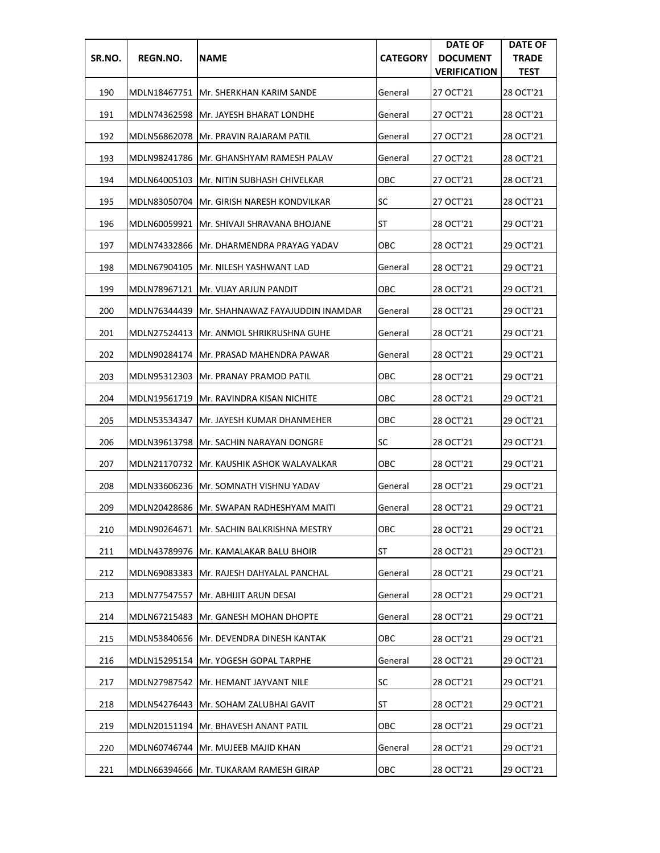| SR.NO. | REGN.NO.     | <b>NAME</b>                                 | <b>CATEGORY</b> | <b>DATE OF</b><br><b>DOCUMENT</b><br><b>VERIFICATION</b> | <b>DATE OF</b><br><b>TRADE</b><br><b>TEST</b> |
|--------|--------------|---------------------------------------------|-----------------|----------------------------------------------------------|-----------------------------------------------|
| 190    |              | MDLN18467751 JMr. SHERKHAN KARIM SANDE      | General         | 27 OCT'21                                                | 28 OCT'21                                     |
| 191    |              | MDLN74362598 Mr. JAYESH BHARAT LONDHE       | General         | 27 OCT'21                                                | 28 OCT'21                                     |
| 192    | MDLN56862078 | Mr. PRAVIN RAJARAM PATIL                    | General         | 27 OCT'21                                                | 28 OCT'21                                     |
| 193    | MDLN98241786 | IMr. GHANSHYAM RAMESH PALAV                 | General         | 27 OCT'21                                                | 28 OCT'21                                     |
| 194    |              | MDLN64005103   Mr. NITIN SUBHASH CHIVELKAR  | ОВС             | 27 OCT'21                                                | 28 OCT'21                                     |
| 195    |              | MDLN83050704   Mr. GIRISH NARESH KONDVILKAR | SC              | 27 OCT'21                                                | 28 OCT'21                                     |
| 196    | MDLN60059921 | <b>Mr. SHIVAJI SHRAVANA BHOJANE</b>         | ST              | 28 OCT'21                                                | 29 OCT'21                                     |
| 197    | MDLN74332866 | IMr. DHARMENDRA PRAYAG YADAV                | OBC             | 28 OCT'21                                                | 29 OCT'21                                     |
| 198    |              | MDLN67904105  Mr. NILESH YASHWANT LAD       | General         | 28 OCT'21                                                | 29 OCT'21                                     |
| 199    |              | MDLN78967121   Mr. VIJAY ARJUN PANDIT       | ОВС             | 28 OCT'21                                                | 29 OCT'21                                     |
| 200    | MDLN76344439 | Mr. SHAHNAWAZ FAYAJUDDIN INAMDAR            | General         | 28 OCT'21                                                | 29 OCT'21                                     |
| 201    |              | MDLN27524413   Mr. ANMOL SHRIKRUSHNA GUHE   | General         | 28 OCT'21                                                | 29 OCT'21                                     |
| 202    |              | MDLN90284174   Mr. PRASAD MAHENDRA PAWAR    | General         | 28 OCT'21                                                | 29 OCT'21                                     |
| 203    | MDLN95312303 | <b>Mr. PRANAY PRAMOD PATIL</b>              | ОВС             | 28 OCT'21                                                | 29 OCT'21                                     |
| 204    | MDLN19561719 | <b>Mr. RAVINDRA KISAN NICHITE</b>           | ОВС             | 28 OCT'21                                                | 29 OCT'21                                     |
| 205    | MDLN53534347 | JMr. JAYESH KUMAR DHANMEHER                 | ОВС             | 28 OCT'21                                                | 29 OCT'21                                     |
| 206    |              | MDLN39613798   Mr. SACHIN NARAYAN DONGRE    | SC              | 28 OCT'21                                                | 29 OCT'21                                     |
| 207    |              | MDLN21170732 JMr. KAUSHIK ASHOK WALAVALKAR  | ОВС             | 28 OCT'21                                                | 29 OCT'21                                     |
| 208    |              | MDLN33606236   Mr. SOMNATH VISHNU YADAV     | General         | 28 OCT'21                                                | 29 OCT'21                                     |
| 209    |              | MDLN20428686 IMr. SWAPAN RADHESHYAM MAITI   | General         | 28 OCT'21                                                | 29 OCT'21                                     |
| 210    |              | MDLN90264671 Mr. SACHIN BALKRISHNA MESTRY   | OBC             | 28 OCT'21                                                | 29 OCT'21                                     |
| 211    |              | MDLN43789976   Mr. KAMALAKAR BALU BHOIR     | ST              | 28 OCT'21                                                | 29 OCT'21                                     |
| 212    |              | MDLN69083383 Mr. RAJESH DAHYALAL PANCHAL    | General         | 28 OCT'21                                                | 29 OCT'21                                     |
| 213    | MDLN77547557 | Mr. ABHIJIT ARUN DESAI                      | General         | 28 OCT'21                                                | 29 OCT'21                                     |
| 214    | MDLN67215483 | lMr. GANESH MOHAN DHOPTE                    | General         | 28 OCT'21                                                | 29 OCT'21                                     |
| 215    |              | MDLN53840656  Mr. DEVENDRA DINESH KANTAK    | OBC             | 28 OCT'21                                                | 29 OCT'21                                     |
| 216    |              | MDLN15295154   Mr. YOGESH GOPAL TARPHE      | General         | 28 OCT'21                                                | 29 OCT'21                                     |
| 217    | MDLN27987542 | Mr. HEMANT JAYVANT NILE                     | <b>SC</b>       | 28 OCT'21                                                | 29 OCT'21                                     |
| 218    | MDLN54276443 | Mr. SOHAM ZALUBHAI GAVIT                    | ST              | 28 OCT'21                                                | 29 OCT'21                                     |
| 219    |              | MDLN20151194   Mr. BHAVESH ANANT PATIL      | овс             | 28 OCT'21                                                | 29 OCT'21                                     |
| 220    |              | MDLN60746744   Mr. MUJEEB MAJID KHAN        | General         | 28 OCT'21                                                | 29 OCT'21                                     |
| 221    | MDLN66394666 | Mr. TUKARAM RAMESH GIRAP                    | OBC             | 28 OCT'21                                                | 29 OCT'21                                     |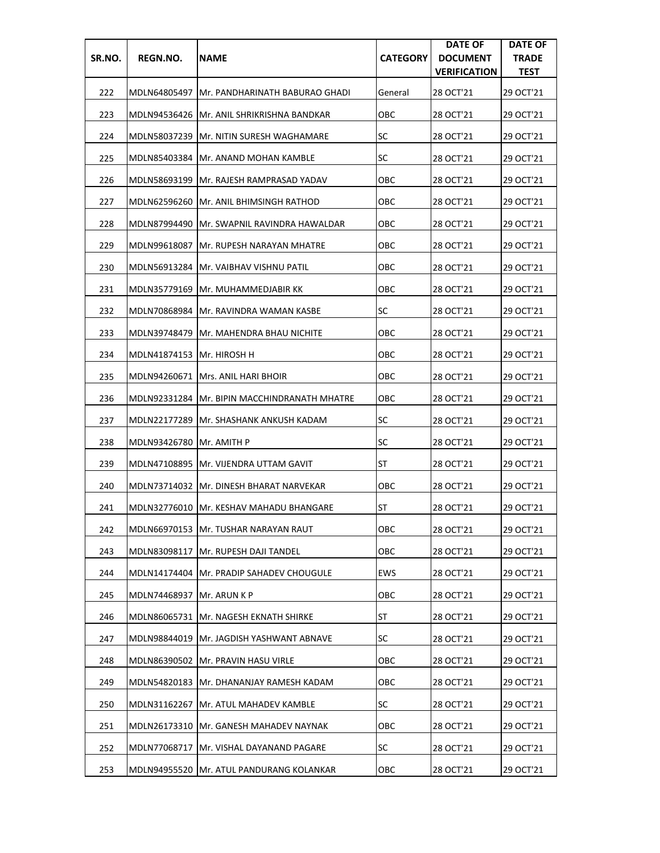| SR.NO. | REGN.NO.                   | <b>NAME</b>                                    | <b>CATEGORY</b> | <b>DATE OF</b><br><b>DOCUMENT</b><br><b>VERIFICATION</b> | <b>DATE OF</b><br><b>TRADE</b><br><b>TEST</b> |
|--------|----------------------------|------------------------------------------------|-----------------|----------------------------------------------------------|-----------------------------------------------|
| 222    |                            | MDLN64805497 JMr. PANDHARINATH BABURAO GHADI   | General         | 28 OCT'21                                                | 29 OCT'21                                     |
| 223    |                            | MDLN94536426   Mr. ANIL SHRIKRISHNA BANDKAR    | ОВС             | 28 OCT'21                                                | 29 OCT'21                                     |
| 224    | MDLN58037239               | <b>Mr. NITIN SURESH WAGHAMARE</b>              | SC              | 28 OCT'21                                                | 29 OCT'21                                     |
| 225    |                            | MDLN85403384 IMr. ANAND MOHAN KAMBLE           | SC              | 28 OCT'21                                                | 29 OCT'21                                     |
| 226    |                            | MDLN58693199   Mr. RAJESH RAMPRASAD YADAV      | ОВС             | 28 OCT'21                                                | 29 OCT'21                                     |
| 227    |                            | MDLN62596260 Mr. ANIL BHIMSINGH RATHOD         | ОВС             | 28 OCT'21                                                | 29 OCT'21                                     |
| 228    |                            | MDLN87994490 IMr. SWAPNIL RAVINDRA HAWALDAR    | ОВС             | 28 OCT'21                                                | 29 OCT'21                                     |
| 229    | MDLN99618087               | IMr. RUPESH NARAYAN MHATRE                     | ОВС             | 28 OCT'21                                                | 29 OCT'21                                     |
| 230    |                            | MDLN56913284   Mr. VAIBHAV VISHNU PATIL        | овс             | 28 OCT'21                                                | 29 OCT'21                                     |
| 231    | MDLN35779169               | Mr. MUHAMMEDJABIR KK                           | ОВС             | 28 OCT'21                                                | 29 OCT'21                                     |
| 232    | MDLN70868984               | JMr. RAVINDRA WAMAN KASBE                      | SC              | 28 OCT'21                                                | 29 OCT'21                                     |
| 233    |                            | MDLN39748479 Mr. MAHENDRA BHAU NICHITE         | овс             | 28 OCT'21                                                | 29 OCT'21                                     |
| 234    | MDLN41874153  Mr. HIROSH H |                                                | овс             | 28 OCT'21                                                | 29 OCT'21                                     |
| 235    | MDLN94260671               | <b>IMrs. ANIL HARI BHOIR</b>                   | ОВС             | 28 OCT'21                                                | 29 OCT'21                                     |
| 236    |                            | MDLN92331284   Mr. BIPIN MACCHINDRANATH MHATRE | ОВС             | 28 OCT'21                                                | 29 OCT'21                                     |
| 237    |                            | MDLN22177289   Mr. SHASHANK ANKUSH KADAM       | <b>SC</b>       | 28 OCT'21                                                | 29 OCT'21                                     |
| 238    | MDLN93426780  Mr. AMITH P  |                                                | <b>SC</b>       | 28 OCT'21                                                | 29 OCT'21                                     |
| 239    |                            | MDLN47108895   Mr. VIJENDRA UTTAM GAVIT        | ST              | 28 OCT'21                                                | 29 OCT'21                                     |
| 240    |                            | MDLN73714032  Mr. DINESH BHARAT NARVEKAR       | ОВС             | 28 OCT'21                                                | 29 OCT'21                                     |
| 241    |                            | MDLN32776010   Mr. KESHAV MAHADU BHANGARE      | ST              | 28 OCT'21                                                | 29 OCT'21                                     |
| 242    |                            | MDLN66970153  Mr. TUSHAR NARAYAN RAUT          | OBC             | 28 OCT'21                                                | 29 OCT'21                                     |
| 243    | MDLN83098117               | Mr. RUPESH DAJI TANDEL                         | OBC             | 28 OCT'21                                                | 29 OCT'21                                     |
| 244    |                            | MDLN14174404   Mr. PRADIP SAHADEV CHOUGULE     | EWS             | 28 OCT'21                                                | 29 OCT'21                                     |
| 245    | MDLN74468937               | Mr. ARUN K P                                   | OBC             | 28 OCT'21                                                | 29 OCT'21                                     |
| 246    |                            | MDLN86065731 Mr. NAGESH EKNATH SHIRKE          | <b>ST</b>       | 28 OCT'21                                                | 29 OCT'21                                     |
| 247    | MDLN98844019               | Mr. JAGDISH YASHWANT ABNAVE                    | <b>SC</b>       | 28 OCT'21                                                | 29 OCT'21                                     |
| 248    |                            | MDLN86390502 Mr. PRAVIN HASU VIRLE             | ОВС             | 28 OCT'21                                                | 29 OCT'21                                     |
| 249    | MDLN54820183               | Mr. DHANANJAY RAMESH KADAM                     | OBC             | 28 OCT'21                                                | 29 OCT'21                                     |
| 250    | MDLN31162267               | Mr. ATUL MAHADEV KAMBLE                        | <b>SC</b>       | 28 OCT'21                                                | 29 OCT'21                                     |
| 251    |                            | MDLN26173310  Mr. GANESH MAHADEV NAYNAK        | овс             | 28 OCT'21                                                | 29 OCT'21                                     |
| 252    | MDLN77068717               | Mr. VISHAL DAYANAND PAGARE                     | <b>SC</b>       | 28 OCT'21                                                | 29 OCT'21                                     |
| 253    | MDLN94955520               | Mr. ATUL PANDURANG KOLANKAR                    | OBC             | 28 OCT'21                                                | 29 OCT'21                                     |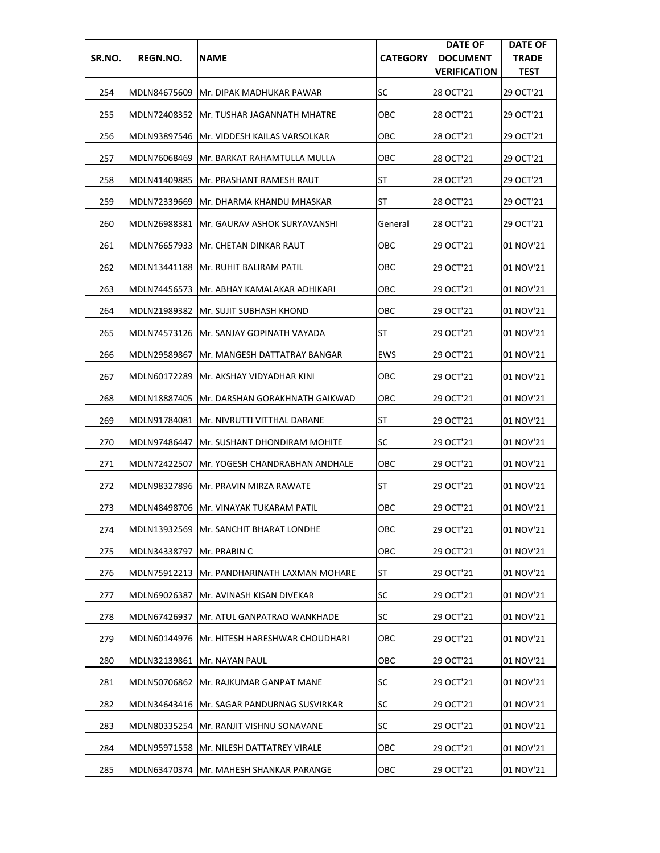| SR.NO. | REGN.NO.     | <b>NAME</b>                                   | <b>CATEGORY</b> | <b>DATE OF</b><br><b>DOCUMENT</b><br><b>VERIFICATION</b> | <b>DATE OF</b><br><b>TRADE</b><br><b>TEST</b> |
|--------|--------------|-----------------------------------------------|-----------------|----------------------------------------------------------|-----------------------------------------------|
| 254    |              | MDLN84675609 IMr. DIPAK MADHUKAR PAWAR        | SC              | 28 OCT'21                                                | 29 OCT'21                                     |
| 255    |              | MDLN72408352  Mr. TUSHAR JAGANNATH MHATRE     | ОВС             | 28 OCT'21                                                | 29 OCT'21                                     |
| 256    |              | MDLN93897546   Mr. VIDDESH KAILAS VARSOLKAR   | овс             | 28 OCT'21                                                | 29 OCT'21                                     |
| 257    | MDLN76068469 | IMr. BARKAT RAHAMTULLA MULLA                  | ОВС             | 28 OCT'21                                                | 29 OCT'21                                     |
| 258    | MDLN41409885 | <b>IMr. PRASHANT RAMESH RAUT</b>              | ST              | 28 OCT'21                                                | 29 OCT'21                                     |
| 259    |              | MDLN72339669   Mr. DHARMA KHANDU MHASKAR      | ST              | 28 OCT'21                                                | 29 OCT'21                                     |
| 260    |              | MDLN26988381  Mr. GAURAV ASHOK SURYAVANSHI    | General         | 28 OCT'21                                                | 29 OCT'21                                     |
| 261    |              | MDLN76657933  Mr. CHETAN DINKAR RAUT          | OBC             | 29 OCT'21                                                | 01 NOV'21                                     |
| 262    |              | MDLN13441188   Mr. RUHIT BALIRAM PATIL        | OBC             | 29 OCT'21                                                | 01 NOV'21                                     |
| 263    |              | MDLN74456573  Mr. ABHAY KAMALAKAR ADHIKARI    | ОВС             | 29 OCT'21                                                | 01 NOV'21                                     |
| 264    |              | MDLN21989382 Mr. SUJIT SUBHASH KHOND          | OBC             | 29 OCT'21                                                | 01 NOV'21                                     |
| 265    |              | MDLN74573126 JMr. SANJAY GOPINATH VAYADA      | ST              | 29 OCT'21                                                | 01 NOV'21                                     |
| 266    | MDLN29589867 | Mr. MANGESH DATTATRAY BANGAR                  | EWS             | 29 OCT'21                                                | 01 NOV'21                                     |
| 267    | MDLN60172289 | Mr. AKSHAY VIDYADHAR KINI                     | ОВС             | 29 OCT'21                                                | 01 NOV'21                                     |
| 268    | MDLN18887405 | IMr. DARSHAN GORAKHNATH GAIKWAD               | ОВС             | 29 OCT'21                                                | 01 NOV'21                                     |
| 269    | MDLN91784081 | IMr. NIVRUTTI VITTHAL DARANE                  | ST              | 29 OCT'21                                                | 01 NOV'21                                     |
| 270    | MDLN97486447 | Mr. SUSHANT DHONDIRAM MOHITE                  | SC              | 29 OCT'21                                                | 01 NOV'21                                     |
| 271    | MDLN72422507 | Mr. YOGESH CHANDRABHAN ANDHALE                | ОВС             | 29 OCT'21                                                | 01 NOV'21                                     |
| 272    |              | MDLN98327896   Mr. PRAVIN MIRZA RAWATE        | ST              | 29 OCT'21                                                | 01 NOV'21                                     |
| 273    |              | MDLN48498706   Mr. VINAYAK TUKARAM PATIL      | ОВС             | 29 OCT'21                                                | 01 NOV'21                                     |
| 274    |              | MDLN13932569 Mr. SANCHIT BHARAT LONDHE        | OBC             | 29 OCT'21                                                | 01 NOV'21                                     |
| 275    | MDLN34338797 | Mr. PRABIN C                                  | OBC             | 29 OCT'21                                                | 01 NOV'21                                     |
| 276    |              | MDLN75912213   Mr. PANDHARINATH LAXMAN MOHARE | ST              | 29 OCT'21                                                | 01 NOV'21                                     |
| 277    | MDLN69026387 | Mr. AVINASH KISAN DIVEKAR                     | SC              | 29 OCT'21                                                | 01 NOV'21                                     |
| 278    | MDLN67426937 | Mr. ATUL GANPATRAO WANKHADE                   | <b>SC</b>       | 29 OCT'21                                                | 01 NOV'21                                     |
| 279    |              | MDLN60144976 Mr. HITESH HARESHWAR CHOUDHARI   | овс             | 29 OCT'21                                                | 01 NOV'21                                     |
| 280    |              | MDLN32139861  Mr. NAYAN PAUL                  | ОВС             | 29 OCT'21                                                | 01 NOV'21                                     |
| 281    | MDLN50706862 | Mr. RAJKUMAR GANPAT MANE                      | SC              | 29 OCT'21                                                | 01 NOV'21                                     |
| 282    | MDLN34643416 | Mr. SAGAR PANDURNAG SUSVIRKAR                 | <b>SC</b>       | 29 OCT'21                                                | 01 NOV'21                                     |
| 283    |              | MDLN80335254   Mr. RANJIT VISHNU SONAVANE     | SC              | 29 OCT'21                                                | 01 NOV'21                                     |
| 284    |              | MDLN95971558   Mr. NILESH DATTATREY VIRALE    | ОВС             | 29 OCT'21                                                | 01 NOV'21                                     |
| 285    |              | MDLN63470374   Mr. MAHESH SHANKAR PARANGE     | ОВС             | 29 OCT'21                                                | 01 NOV'21                                     |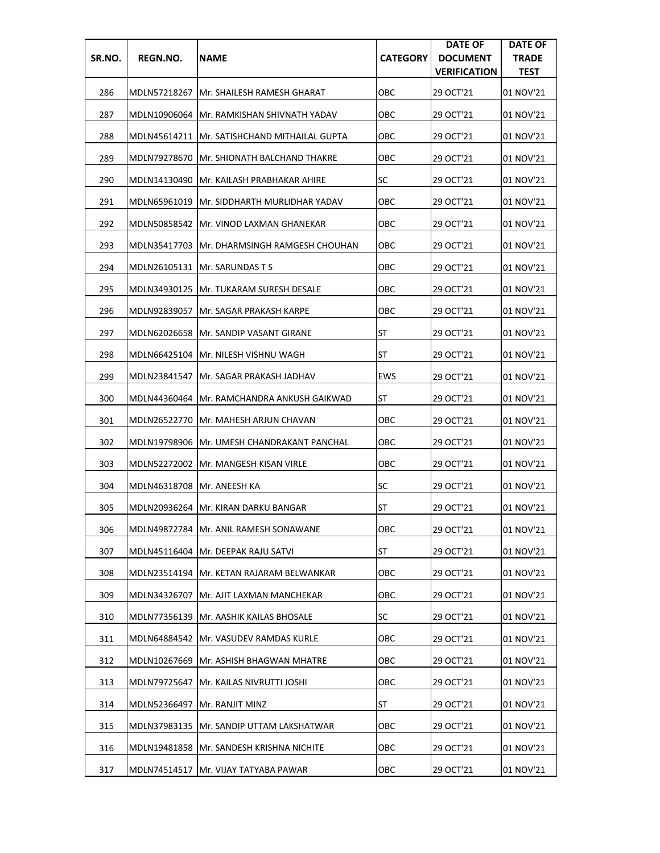| SR.NO. | REGN.NO.                     | <b>NAME</b>                                  | <b>CATEGORY</b> | <b>DATE OF</b><br><b>DOCUMENT</b><br><b>VERIFICATION</b> | <b>DATE OF</b><br><b>TRADE</b><br><b>TEST</b> |
|--------|------------------------------|----------------------------------------------|-----------------|----------------------------------------------------------|-----------------------------------------------|
| 286    |                              | MDLN57218267 IMr. SHAILESH RAMESH GHARAT     | ОВС             | 29 OCT'21                                                | 01 NOV'21                                     |
| 287    |                              | MDLN10906064  Mr. RAMKISHAN SHIVNATH YADAV   | ОВС             | 29 OCT'21                                                | 01 NOV'21                                     |
| 288    |                              | MDLN45614211 Mr. SATISHCHAND MITHAILAL GUPTA | овс             | 29 OCT'21                                                | 01 NOV'21                                     |
| 289    | MDLN79278670                 | IMr. SHIONATH BALCHAND THAKRE                | OBC             | 29 OCT'21                                                | 01 NOV'21                                     |
| 290    |                              | MDLN14130490 Mr. KAILASH PRABHAKAR AHIRE     | <b>SC</b>       | 29 OCT'21                                                | 01 NOV'21                                     |
| 291    | MDLN65961019                 | IMr. SIDDHARTH MURLIDHAR YADAV               | овс             | 29 OCT'21                                                | 01 NOV'21                                     |
| 292    |                              | MDLN50858542 Mr. VINOD LAXMAN GHANEKAR       | ОВС             | 29 OCT'21                                                | 01 NOV'21                                     |
| 293    |                              | MDLN35417703 Mr. DHARMSINGH RAMGESH CHOUHAN  | OBC             | 29 OCT'21                                                | 01 NOV'21                                     |
| 294    |                              | MDLN26105131   Mr. SARUNDAS T S              | овс             | 29 OCT'21                                                | 01 NOV'21                                     |
| 295    | MDLN34930125                 | <b>IMr. TUKARAM SURESH DESALE</b>            | ОВС             | 29 OCT'21                                                | 01 NOV'21                                     |
| 296    | MDLN92839057                 | lMr. SAGAR PRAKASH KARPE                     | ОВС             | 29 OCT'21                                                | 01 NOV'21                                     |
| 297    |                              | MDLN62026658 Mr. SANDIP VASANT GIRANE        | ST              | 29 OCT'21                                                | 01 NOV'21                                     |
| 298    |                              | MDLN66425104   Mr. NILESH VISHNU WAGH        | ST              | 29 OCT'21                                                | 01 NOV'21                                     |
| 299    | MDLN23841547                 | <b>Mr. SAGAR PRAKASH JADHAV</b>              | <b>EWS</b>      | 29 OCT'21                                                | 01 NOV'21                                     |
| 300    |                              | MDLN44360464   Mr. RAMCHANDRA ANKUSH GAIKWAD | ST              | 29 OCT'21                                                | 01 NOV'21                                     |
| 301    |                              | MDLN26522770   Mr. MAHESH ARJUN CHAVAN       | OBC             | 29 OCT'21                                                | 01 NOV'21                                     |
| 302    |                              | MDLN19798906 Mr. UMESH CHANDRAKANT PANCHAL   | OBC             | 29 OCT'21                                                | 01 NOV'21                                     |
| 303    |                              | MDLN52272002 Mr. MANGESH KISAN VIRLE         | ОВС             | 29 OCT'21                                                | 01 NOV'21                                     |
| 304    | MDLN46318708   Mr. ANEESH KA |                                              | SC              | 29 OCT'21                                                | 01 NOV'21                                     |
| 305    |                              | MDLN20936264 IMr. KIRAN DARKU BANGAR         | <b>ST</b>       | 29 OCT'21                                                | 01 NOV'21                                     |
| 306    |                              | MDLN49872784 Mr. ANIL RAMESH SONAWANE        | OBC             | 29 OCT'21                                                | 01 NOV'21                                     |
| 307    |                              | MDLN45116404   Mr. DEEPAK RAJU SATVI         | ST              | 29 OCT'21                                                | 01 NOV'21                                     |
| 308    |                              | MDLN23514194   Mr. KETAN RAJARAM BELWANKAR   | ОВС             | 29 OCT'21                                                | 01 NOV'21                                     |
| 309    | MDLN34326707                 | Mr. AJIT LAXMAN MANCHEKAR                    | ОВС             | 29 OCT'21                                                | 01 NOV'21                                     |
| 310    | MDLN77356139                 | Mr. AASHIK KAILAS BHOSALE                    | <b>SC</b>       | 29 OCT'21                                                | 01 NOV'21                                     |
| 311    | MDLN64884542                 | Mr. VASUDEV RAMDAS KURLE                     | ОВС             | 29 OCT'21                                                | 01 NOV'21                                     |
| 312    | MDLN10267669                 | Mr. ASHISH BHAGWAN MHATRE                    | ОВС             | 29 OCT'21                                                | 01 NOV'21                                     |
| 313    | MDLN79725647                 | Mr. KAILAS NIVRUTTI JOSHI                    | OBC             | 29 OCT'21                                                | 01 NOV'21                                     |
| 314    | MDLN52366497                 | Mr. RANJIT MINZ                              | ST              | 29 OCT'21                                                | 01 NOV'21                                     |
| 315    |                              | MDLN37983135   Mr. SANDIP UTTAM LAKSHATWAR   | ОВС             | 29 OCT'21                                                | 01 NOV'21                                     |
| 316    | MDLN19481858                 | Mr. SANDESH KRISHNA NICHITE                  | ОВС             | 29 OCT'21                                                | 01 NOV'21                                     |
| 317    | MDLN74514517                 | Mr. VIJAY TATYABA PAWAR                      | OBC             | 29 OCT'21                                                | 01 NOV'21                                     |